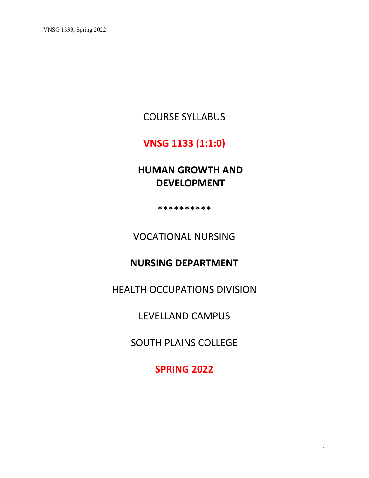# COURSE SYLLABUS

# **VNSG 1133 (1:1:0)**

# **HUMAN GROWTH AND DEVELOPMENT**

\*\*\*\*\*\*\*\*\*\*

VOCATIONAL NURSING

## **NURSING DEPARTMENT**

HEALTH OCCUPATIONS DIVISION

LEVELLAND CAMPUS

SOUTH PLAINS COLLEGE

**SPRING 2022**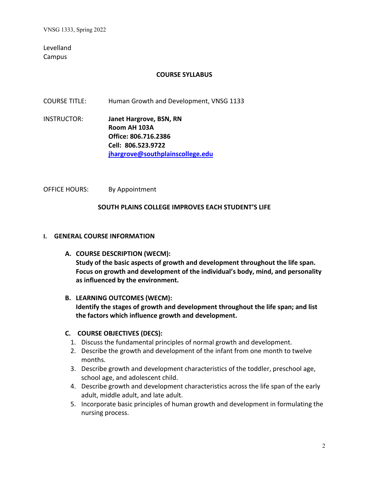Levelland Campus

### **COURSE SYLLABUS**

COURSE TITLE: Human Growth and Development, VNSG 1133

INSTRUCTOR: **Janet Hargrove, BSN, RN Room AH 103A Office: 806.716.2386 Cell: 806.523.9722 [jhargrove@southplainscollege.edu](mailto:jhargrove@southplainscollege.edu)**

OFFICE HOURS: By Appointment

#### **SOUTH PLAINS COLLEGE IMPROVES EACH STUDENT'S LIFE**

#### **I. GENERAL COURSE INFORMATION**

**A. COURSE DESCRIPTION (WECM): Study of the basic aspects of growth and development throughout the life span. Focus on growth and development of the individual's body, mind, and personality as influenced by the environment.**

#### **B. LEARNING OUTCOMES (WECM):**

**Identify the stages of growth and development throughout the life span; and list the factors which influence growth and development.**

#### **C. COURSE OBJECTIVES (DECS):**

- 1. Discuss the fundamental principles of normal growth and development.
- 2. Describe the growth and development of the infant from one month to twelve months.
- 3. Describe growth and development characteristics of the toddler, preschool age, school age, and adolescent child.
- 4. Describe growth and development characteristics across the life span of the early adult, middle adult, and late adult.
- 5. Incorporate basic principles of human growth and development in formulating the nursing process.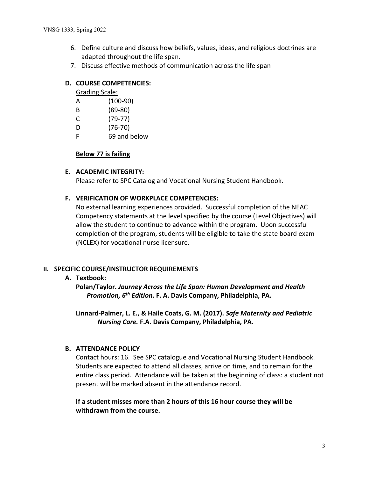- 6. Define culture and discuss how beliefs, values, ideas, and religious doctrines are adapted throughout the life span.
- 7. Discuss effective methods of communication across the life span

### **D. COURSE COMPETENCIES:**

Grading Scale:

- B (89-80)
- C (79-77)
- D (76-70)
- F 69 and below

### **Below 77 is failing**

### **E. ACADEMIC INTEGRITY:**

Please refer to SPC Catalog and Vocational Nursing Student Handbook.

### **F. VERIFICATION OF WORKPLACE COMPETENCIES:**

No external learning experiences provided. Successful completion of the NEAC Competency statements at the level specified by the course (Level Objectives) will allow the student to continue to advance within the program. Upon successful completion of the program, students will be eligible to take the state board exam (NCLEX) for vocational nurse licensure.

### **II. SPECIFIC COURSE/INSTRUCTOR REQUIREMENTS**

### **A. Textbook:**

**Polan/Taylor.** *Journey Across the Life Span: Human Development and Health Promotion, 6th Edition***. F. A. Davis Company, Philadelphia, PA.**

**Linnard-Palmer, L. E., & Haile Coats, G. M. (2017).** *Safe Maternity and Pediatric Nursing Care.* **F.A. Davis Company, Philadelphia, PA.**

### **B. ATTENDANCE POLICY**

Contact hours: 16. See SPC catalogue and Vocational Nursing Student Handbook. Students are expected to attend all classes, arrive on time, and to remain for the entire class period. Attendance will be taken at the beginning of class: a student not present will be marked absent in the attendance record.

**If a student misses more than 2 hours of this 16 hour course they will be withdrawn from the course.**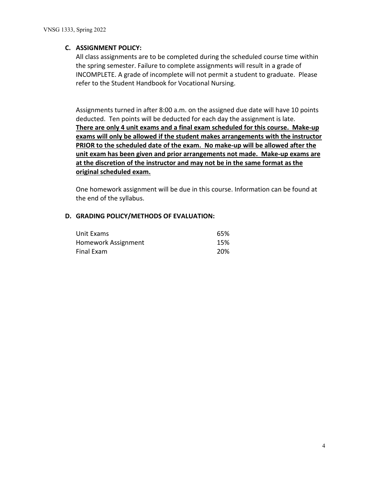### **C. ASSIGNMENT POLICY:**

All class assignments are to be completed during the scheduled course time within the spring semester. Failure to complete assignments will result in a grade of INCOMPLETE. A grade of incomplete will not permit a student to graduate. Please refer to the Student Handbook for Vocational Nursing.

Assignments turned in after 8:00 a.m. on the assigned due date will have 10 points deducted. Ten points will be deducted for each day the assignment is late. **There are only 4 unit exams and a final exam scheduled for this course. Make-up exams will only be allowed if the student makes arrangements with the instructor PRIOR to the scheduled date of the exam. No make-up will be allowed after the unit exam has been given and prior arrangements not made. Make-up exams are at the discretion of the instructor and may not be in the same format as the original scheduled exam.**

One homework assignment will be due in this course. Information can be found at the end of the syllabus.

#### **D. GRADING POLICY/METHODS OF EVALUATION:**

| Unit Exams          | 65% |
|---------------------|-----|
| Homework Assignment | 15% |
| Final Exam          | 20% |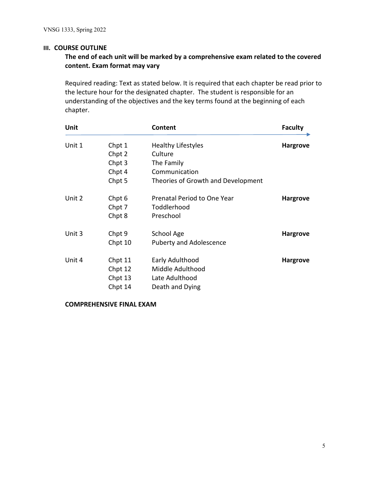#### **III. COURSE OUTLINE**

## **The end of each unit will be marked by a comprehensive exam related to the covered content. Exam format may vary**

Required reading: Text as stated below. It is required that each chapter be read prior to the lecture hour for the designated chapter. The student is responsible for an understanding of the objectives and the key terms found at the beginning of each chapter.

| Unit   |         | Content                            | <b>Faculty</b>  |
|--------|---------|------------------------------------|-----------------|
| Unit 1 | Chpt 1  | <b>Healthy Lifestyles</b>          | <b>Hargrove</b> |
|        | Chpt 2  | Culture                            |                 |
|        | Chpt 3  | The Family                         |                 |
|        | Chpt 4  | Communication                      |                 |
|        | Chpt 5  | Theories of Growth and Development |                 |
| Unit 2 | Chpt 6  | Prenatal Period to One Year        | <b>Hargrove</b> |
|        | Chpt 7  | Toddlerhood                        |                 |
|        | Chpt 8  | Preschool                          |                 |
| Unit 3 | Chpt 9  | School Age                         | <b>Hargrove</b> |
|        | Chpt 10 | <b>Puberty and Adolescence</b>     |                 |
| Unit 4 | Chpt 11 | Early Adulthood                    | <b>Hargrove</b> |
|        | Chpt 12 | Middle Adulthood                   |                 |
|        | Chpt 13 | Late Adulthood                     |                 |
|        | Chpt 14 | Death and Dying                    |                 |

**COMPREHENSIVE FINAL EXAM**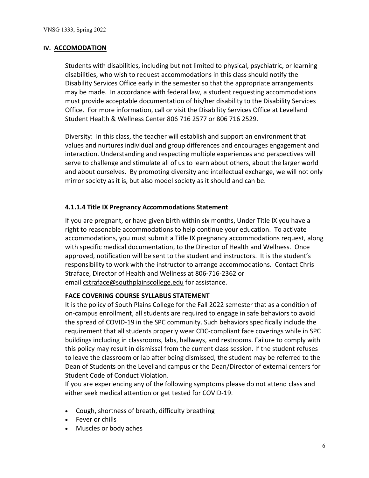#### **IV. ACCOMODATION**

Students with disabilities, including but not limited to physical, psychiatric, or learning disabilities, who wish to request accommodations in this class should notify the Disability Services Office early in the semester so that the appropriate arrangements may be made. In accordance with federal law, a student requesting accommodations must provide acceptable documentation of his/her disability to the Disability Services Office. For more information, call or visit the Disability Services Office at Levelland Student Health & Wellness Center 806 716 2577 or 806 716 2529.

Diversity: In this class, the teacher will establish and support an environment that values and nurtures individual and group differences and encourages engagement and interaction. Understanding and respecting multiple experiences and perspectives will serve to challenge and stimulate all of us to learn about others, about the larger world and about ourselves. By promoting diversity and intellectual exchange, we will not only mirror society as it is, but also model society as it should and can be.

### **4.1.1.4 Title IX Pregnancy Accommodations Statement**

If you are pregnant, or have given birth within six months, Under Title IX you have a right to reasonable accommodations to help continue your education. To activate accommodations, you must submit a Title IX pregnancy accommodations request, along with specific medical documentation, to the Director of Health and Wellness. Once approved, notification will be sent to the student and instructors. It is the student's responsibility to work with the instructor to arrange accommodations. Contact Chris Straface, Director of Health and Wellness at 806-716-2362 or email [cstraface@southplainscollege.edu](mailto:cstraface@southplainscollege.edu) for assistance.

### **FACE COVERING COURSE SYLLABUS STATEMENT**

It is the policy of South Plains College for the Fall 2022 semester that as a condition of on-campus enrollment, all students are required to engage in safe behaviors to avoid the spread of COVID-19 in the SPC community. Such behaviors specifically include the requirement that all students properly wear CDC-compliant face coverings while in SPC buildings including in classrooms, labs, hallways, and restrooms. Failure to comply with this policy may result in dismissal from the current class session. If the student refuses to leave the classroom or lab after being dismissed, the student may be referred to the Dean of Students on the Levelland campus or the Dean/Director of external centers for Student Code of Conduct Violation.

If you are experiencing any of the following symptoms please do not attend class and either seek medical attention or get tested for COVID-19.

- Cough, shortness of breath, difficulty breathing
- Fever or chills
- Muscles or body aches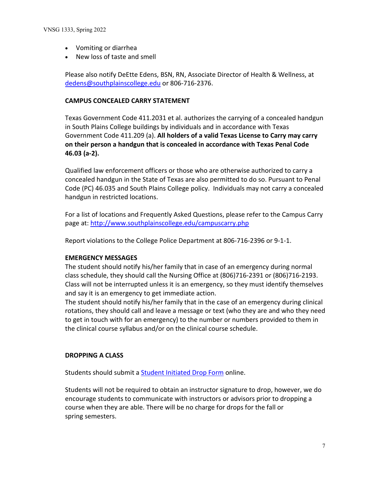- Vomiting or diarrhea
- New loss of taste and smell

Please also notify DeEtte Edens, BSN, RN, Associate Director of Health & Wellness, at [dedens@southplainscollege.edu](mailto:dedens@southplainscollege.edu) or 806-716-2376.

#### **CAMPUS CONCEALED CARRY STATEMENT**

Texas Government Code 411.2031 et al. authorizes the carrying of a concealed handgun in South Plains College buildings by individuals and in accordance with Texas Government Code 411.209 (a). **All holders of a valid Texas License to Carry may carry on their person a handgun that is concealed in accordance with Texas Penal Code 46.03 (a-2).**

Qualified law enforcement officers or those who are otherwise authorized to carry a concealed handgun in the State of Texas are also permitted to do so. Pursuant to Penal Code (PC) 46.035 and South Plains College policy. Individuals may not carry a concealed handgun in restricted locations.

For a list of locations and Frequently Asked Questions, please refer to the Campus Carry page at:<http://www.southplainscollege.edu/campuscarry.php>

Report violations to the College Police Department at 806-716-2396 or 9-1-1.

#### **EMERGENCY MESSAGES**

The student should notify his/her family that in case of an emergency during normal class schedule, they should call the Nursing Office at (806)716-2391 or (806)716-2193. Class will not be interrupted unless it is an emergency, so they must identify themselves and say it is an emergency to get immediate action.

The student should notify his/her family that in the case of an emergency during clinical rotations, they should call and leave a message or text (who they are and who they need to get in touch with for an emergency) to the number or numbers provided to them in the clinical course syllabus and/or on the clinical course schedule.

#### **DROPPING A CLASS**

Students should submit a Student [Initiated](https://forms.office.com/Pages/ResponsePage.aspx?id=ZrGRbWrP6UWeIqAmJdCCqRkmPIpp6AVCixFJfcqITt9UODExTUFXS0JOODhJOTlYM0NEV1kzRk9GMS4u) Drop Form online.

Students will not be required to obtain an instructor signature to drop, however, we do encourage students to communicate with instructors or advisors prior to dropping a course when they are able. There will be no charge for drops for the fall or spring semesters.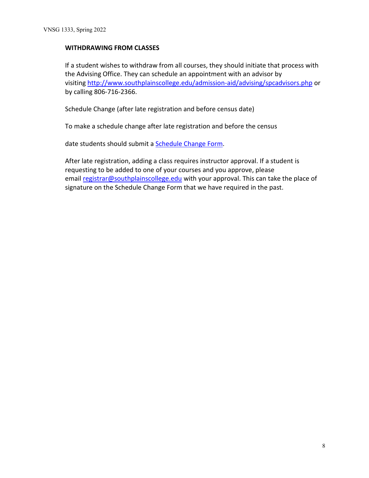### **WITHDRAWING FROM CLASSES**

If a student wishes to withdraw from all courses, they should initiate that process with the Advising Office. They can schedule an appointment with an advisor by visiting <http://www.southplainscollege.edu/admission-aid/advising/spcadvisors.php> or by calling 806-716-2366.

Schedule Change (after late registration and before census date)

To make a schedule change after late registration and before the census

date students should submit a [Schedule](https://forms.office.com/Pages/ResponsePage.aspx?id=ZrGRbWrP6UWeIqAmJdCCqRkmPIpp6AVCixFJfcqITt9UODIyTkRZSkFHVDNSVFRFV0g0T0tVWVAwRi4u) Change Form.

After late registration, adding a class requires instructor approval. If a student is requesting to be added to one of your courses and you approve, please email [registrar@southplainscollege.edu](mailto:registrar@southplainscollege.edu) with your approval. This can take the place of signature on the Schedule Change Form that we have required in the past.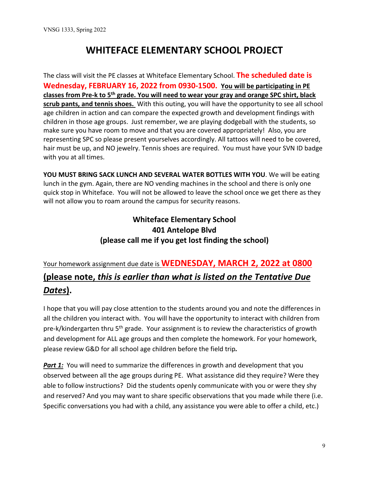# **WHITEFACE ELEMENTARY SCHOOL PROJECT**

The class will visit the PE classes at Whiteface Elementary School. **The scheduled date is Wednesday, FEBRUARY 16, 2022 from 0930-1500. You will be participating in PE classes from Pre-k to 5th grade. You will need to wear your gray and orange SPC shirt, black scrub pants, and tennis shoes.** With this outing, you will have the opportunity to see all school age children in action and can compare the expected growth and development findings with children in those age groups. Just remember, we are playing dodgeball with the students, so make sure you have room to move and that you are covered appropriately! Also, you are representing SPC so please present yourselves accordingly. All tattoos will need to be covered, hair must be up, and NO jewelry. Tennis shoes are required. You must have your SVN ID badge with you at all times.

**YOU MUST BRING SACK LUNCH AND SEVERAL WATER BOTTLES WITH YOU**. We will be eating lunch in the gym. Again, there are NO vending machines in the school and there is only one quick stop in Whiteface. You will not be allowed to leave the school once we get there as they will not allow you to roam around the campus for security reasons.

## **Whiteface Elementary School 401 Antelope Blvd (please call me if you get lost finding the school)**

# Your homework assignment due date is **WEDNESDAY, MARCH 2, 2022 at 0800 (please note,** *this is earlier than what is listed on the Tentative Due Dates***).**

I hope that you will pay close attention to the students around you and note the differences in all the children you interact with. You will have the opportunity to interact with children from pre-k/kindergarten thru 5<sup>th</sup> grade. Your assignment is to review the characteristics of growth and development for ALL age groups and then complete the homework. For your homework, please review G&D for all school age children before the field trip*.* 

**Part 1:** You will need to summarize the differences in growth and development that you observed between all the age groups during PE. What assistance did they require? Were they able to follow instructions? Did the students openly communicate with you or were they shy and reserved? And you may want to share specific observations that you made while there (i.e. Specific conversations you had with a child, any assistance you were able to offer a child, etc.)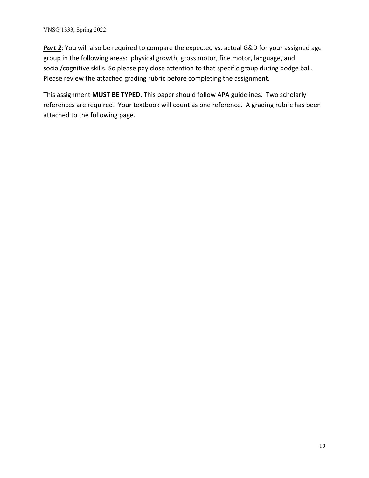**Part 2**: You will also be required to compare the expected vs. actual G&D for your assigned age group in the following areas: physical growth, gross motor, fine motor, language, and social/cognitive skills. So please pay close attention to that specific group during dodge ball. Please review the attached grading rubric before completing the assignment.

This assignment **MUST BE TYPED.** This paper should follow APA guidelines. Two scholarly references are required. Your textbook will count as one reference. A grading rubric has been attached to the following page.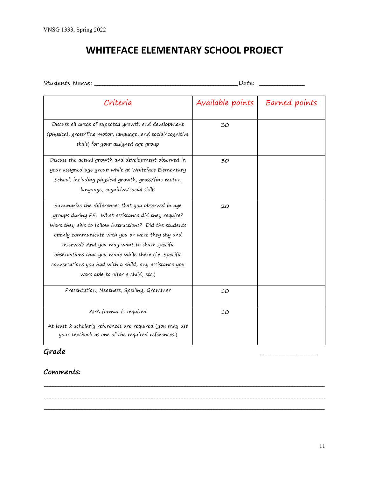# **WHITEFACE ELEMENTARY SCHOOL PROJECT**

| Criteria                                                                                                                                                                                                                                                                                                                                                                                                                         | Available points | Earned points |
|----------------------------------------------------------------------------------------------------------------------------------------------------------------------------------------------------------------------------------------------------------------------------------------------------------------------------------------------------------------------------------------------------------------------------------|------------------|---------------|
| Discuss all areas of expected growth and development<br>(physical, gross/fine motor, language, and social/cognitive<br>skills) for your assigned age group                                                                                                                                                                                                                                                                       | 30               |               |
| Discuss the actual growth and development observed in<br>your assigned age group while at Whiteface Elementary<br>School, including physical growth, gross/fine motor,<br>language, cognitive/social skills                                                                                                                                                                                                                      | 30               |               |
| Summarize the differences that you observed in age<br>groups during PE. What assistance did they require?<br>Were they able to follow instructions? Did the students<br>openly communicate with you or were they shy and<br>reserved? And you may want to share specific<br>observations that you made while there (i.e. Specific<br>conversations you had with a child, any assistance you<br>were able to offer a child, etc.) | 20               |               |
| Presentation, Neatness, Spelling, Grammar                                                                                                                                                                                                                                                                                                                                                                                        | 10               |               |
| APA format is required<br>At least 2 scholarly references are required (you may use<br>your textbook as one of the required references.)                                                                                                                                                                                                                                                                                         | 10               |               |

**\_\_\_\_\_\_\_\_\_\_\_\_\_\_\_\_\_\_\_\_\_\_\_\_\_\_\_\_\_\_\_\_\_\_\_\_\_\_\_\_\_\_\_\_\_\_\_\_\_\_\_\_\_\_\_\_\_\_\_\_\_\_\_\_\_\_\_\_\_\_\_\_\_\_\_\_\_\_\_\_\_\_\_\_\_\_\_\_\_\_\_\_\_\_\_\_\_\_\_\_\_\_ \_\_\_\_\_\_\_\_\_\_\_\_\_\_\_\_\_\_\_\_\_\_\_\_\_\_\_\_\_\_\_\_\_\_\_\_\_\_\_\_\_\_\_\_\_\_\_\_\_\_\_\_\_\_\_\_\_\_\_\_\_\_\_\_\_\_\_\_\_\_\_\_\_\_\_\_\_\_\_\_\_\_\_\_\_\_\_\_\_\_\_\_\_\_\_\_\_\_\_\_\_\_ \_\_\_\_\_\_\_\_\_\_\_\_\_\_\_\_\_\_\_\_\_\_\_\_\_\_\_\_\_\_\_\_\_\_\_\_\_\_\_\_\_\_\_\_\_\_\_\_\_\_\_\_\_\_\_\_\_\_\_\_\_\_\_\_\_\_\_\_\_\_\_\_\_\_\_\_\_\_\_\_\_\_\_\_\_\_\_\_\_\_\_\_\_\_\_\_\_\_\_\_\_\_**

## **Grade \_\_\_\_\_\_\_\_\_\_\_\_\_\_\_\_**

### **Comments:**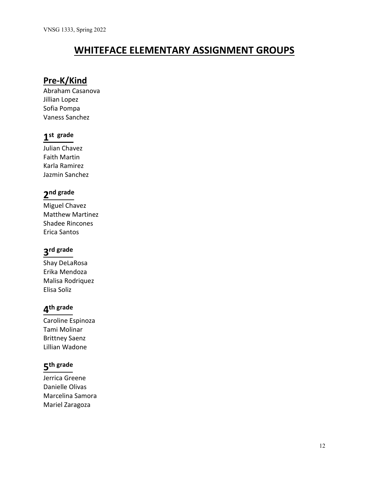# **WHITEFACE ELEMENTARY ASSIGNMENT GROUPS**

## **Pre-K/Kind**

Abraham Casanova Jillian Lopez Sofia Pompa Vaness Sanchez

# **1st grade**

Julian Chavez Faith Martin Karla Ramirez Jazmin Sanchez

# **2nd grade**

Miguel Chavez Matthew Martinez Shadee Rincones Erica Santos

# **3rd grade**

Shay DeLaRosa Erika Mendoza Malisa Rodriquez Elisa Soliz

## **4th grade**

Caroline Espinoza Tami Molinar Brittney Saenz Lillian Wadone

# **5th grade**

Jerrica Greene Danielle Olivas Marcelina Samora Mariel Zaragoza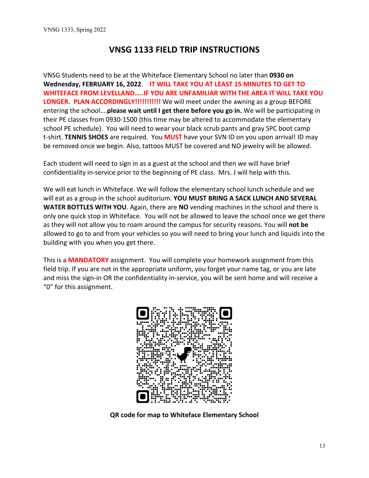## **VNSG 1133 FIELD TRIP INSTRUCTIONS**

VNSG Students need to be at the Whiteface Elementary School no later than **0930 on Wednesday, FEBRUARY 16, 2022**. **IT WILL TAKE YOU AT LEAST 15 MINUTES TO GET TO WHITEFACE FROM LEVELLAND…..IF YOU ARE UNFAMILIAR WITH THE AREA IT WILL TAKE YOU LONGER. PLAN ACCORDINGLY!!!!!!!!!!!** We will meet under the awning as a group BEFORE entering the school….**please wait until I get there before you go in.** We will be participating in their PE classes from 0930-1500 (this time may be altered to accommodate the elementary school PE schedule). You will need to wear your black scrub pants and gray SPC boot camp t-shirt. **TENNIS SHOES** are required. You **MUST** have your SVN ID on you upon arrival! ID may be removed once we begin. Also, tattoos MUST be covered and NO jewelry will be allowed.

Each student will need to sign in as a guest at the school and then we will have brief confidentiality in-service prior to the beginning of PE class. Mrs. J will help with this.

We will eat lunch in Whiteface. We will follow the elementary school lunch schedule and we will eat as a group in the school auditorium. **YOU MUST BRING A SACK LUNCH AND SEVERAL WATER BOTTLES WITH YOU**. Again, there are **NO** vending machines in the school and there is only one quick stop in Whiteface. You will not be allowed to leave the school once we get there as they will not allow you to roam around the campus for security reasons. You will **not be** allowed to go to and from your vehicles so you will need to bring your lunch and liquids into the building with you when you get there.

This is a **MANDATORY** assignment. You will complete your homework assignment from this field trip. If you are not in the appropriate uniform, you forget your name tag, or you are late and miss the sign-in OR the confidentiality in-service, you will be sent home and will receive a "0" for this assignment.



**QR code for map to Whiteface Elementary School**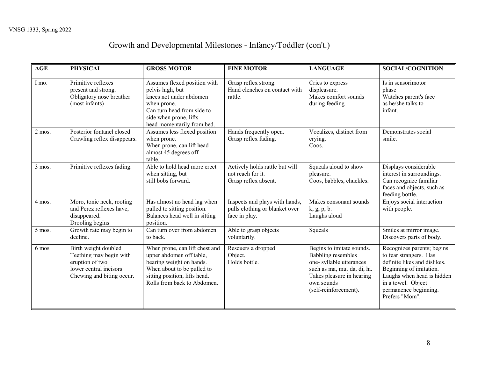# Growth and Developmental Milestones - Infancy/Toddler (con't.)

| <b>AGE</b> | <b>PHYSICAL</b>                                                                                                           | <b>GROSS MOTOR</b>                                                                                                                                                                   | <b>FINE MOTOR</b>                                                                 | <b>LANGUAGE</b>                                                                                                                                                                      | <b>SOCIAL/COGNITION</b>                                                                                                                                                                                        |
|------------|---------------------------------------------------------------------------------------------------------------------------|--------------------------------------------------------------------------------------------------------------------------------------------------------------------------------------|-----------------------------------------------------------------------------------|--------------------------------------------------------------------------------------------------------------------------------------------------------------------------------------|----------------------------------------------------------------------------------------------------------------------------------------------------------------------------------------------------------------|
| I mo.      | Primitive reflexes<br>present and strong.<br>Obligatory nose breather<br>(most infants)                                   | Assumes flexed position with<br>pelvis high, but<br>knees not under abdomen<br>when prone.<br>Can turn head from side to<br>side when prone, lifts<br>head momentarily from bed.     | Grasp reflex strong.<br>Hand clenches on contact with<br>rattle.                  | Cries to express<br>displeasure.<br>Makes comfort sounds<br>during feeding                                                                                                           | Is in sensorimotor<br>phase<br>Watches parent's face<br>as he/she talks to<br>infant.                                                                                                                          |
| 2 mos.     | Posterior fontanel closed<br>Crawling reflex disappears.                                                                  | Assumes less flexed position<br>when prone.<br>When prone, can lift head<br>almost 45 degrees off<br>table.                                                                          | Hands frequently open.<br>Grasp reflex fading.                                    | Vocalizes, distinct from<br>crying.<br>Coos.                                                                                                                                         | Demonstrates social<br>smile.                                                                                                                                                                                  |
| 3 mos.     | Primitive reflexes fading.                                                                                                | Able to hold head more erect<br>when sitting, but<br>still bobs forward.                                                                                                             | Actively holds rattle but will<br>not reach for it.<br>Grasp reflex absent.       | Squeals aloud to show<br>pleasure.<br>Coos, babbles, chuckles.                                                                                                                       | Displays considerable<br>interest in surroundings.<br>Can recognize familiar<br>faces and objects, such as<br>feeding bottle.                                                                                  |
| 4 mos.     | Moro, tonic neck, rooting<br>and Perez reflexes have,<br>disappeared.<br>Drooling begins                                  | Has almost no head lag when<br>pulled to sitting position.<br>Balances head well in sitting<br>position.                                                                             | Inspects and plays with hands,<br>pulls clothing or blanket over<br>face in play. | Makes consonant sounds<br>k, g, p, b.<br>Laughs aloud                                                                                                                                | Enjoys social interaction<br>with people.                                                                                                                                                                      |
| 5 mos.     | Growth rate may begin to<br>decline.                                                                                      | Can turn over from abdomen<br>to back.                                                                                                                                               | Able to grasp objects<br>voluntarily.                                             | Squeals                                                                                                                                                                              | Smiles at mirror image.<br>Discovers parts of body.                                                                                                                                                            |
| 6 mos      | Birth weight doubled<br>Teething may begin with<br>eruption of two<br>lower central incisors<br>Chewing and biting occur. | When prone, can lift chest and<br>upper abdomen off table,<br>bearing weight on hands.<br>When about to be pulled to<br>sitting position, lifts head.<br>Rolls from back to Abdomen. | Rescuers a dropped<br>Object.<br>Holds bottle.                                    | Begins to imitate sounds.<br><b>Babbling</b> resembles<br>one-syllable utterances<br>such as ma, mu, da, di, hi.<br>Takes pleasure in hearing<br>own sounds<br>(self-reinforcement). | Recognizes parents; begins<br>to fear strangers. Has<br>definite likes and dislikes.<br>Beginning of imitation.<br>Laughs when head is hidden<br>in a towel. Object<br>permanence beginning.<br>Prefers "Mom". |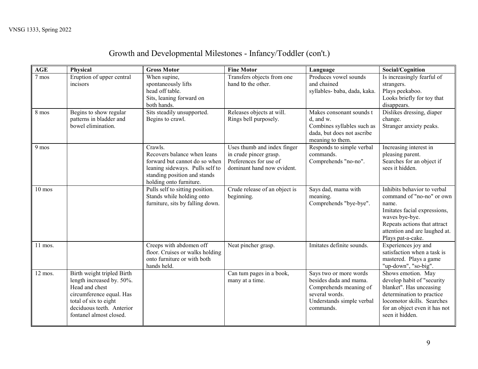# Growth and Developmental Milestones - Infancy/Toddler (con't.)

| <b>AGE</b> | Physical                                                                                                                                                                               | <b>Gross Motor</b>                                                                                                                                                    | <b>Fine Motor</b>                                                                                             | Language                                                                                                                               | Social/Cognition                                                                                                                                                                                          |
|------------|----------------------------------------------------------------------------------------------------------------------------------------------------------------------------------------|-----------------------------------------------------------------------------------------------------------------------------------------------------------------------|---------------------------------------------------------------------------------------------------------------|----------------------------------------------------------------------------------------------------------------------------------------|-----------------------------------------------------------------------------------------------------------------------------------------------------------------------------------------------------------|
| 7 mos      | Eruption of upper central<br>incisors                                                                                                                                                  | When supine,<br>spontaneously lifts<br>head off table.<br>Sits, leaning forward on<br>both hands.                                                                     | Transfers objects from one<br>hand to the other.                                                              | Produces vowel sounds<br>and chained<br>syllables- baba, dada, kaka.                                                                   | Is increasingly fearful of<br>strangers.<br>Plays peekaboo.<br>Looks briefly for toy that<br>disappears.                                                                                                  |
| 8 mos      | Begins to show regular<br>patterns in bladder and<br>bowel elimination.                                                                                                                | Sits steadily unsupported.<br>Begins to crawl.                                                                                                                        | Releases objects at will.<br>Rings bell purposely.                                                            | Makes consonant sounds t<br>d, and w.<br>Combines syllables such as<br>dada, but does not ascribe<br>meaning to them.                  | Dislikes dressing, diaper<br>change.<br>Stranger anxiety peaks.                                                                                                                                           |
| 9 mos      |                                                                                                                                                                                        | Crawls.<br>Recovers balance when leans<br>forward but cannot do so when<br>leaning sideways. Pulls self to<br>standing position and stands<br>holding onto furniture. | Uses thumb and index finger<br>in crude pincer grasp.<br>Preferences for use of<br>dominant hand now evident. | Responds to simple verbal<br>commands.<br>Comprehends "no-no".                                                                         | Increasing interest in<br>pleasing parent.<br>Searches for an object if<br>sees it hidden.                                                                                                                |
| $10$ mos   |                                                                                                                                                                                        | Pulls self to sitting position.<br>Stands while holding onto<br>furniture, sits by falling down.                                                                      | Crude release of an object is<br>beginning.                                                                   | Says dad, mama with<br>meaning.<br>Comprehends "bye-bye".                                                                              | Inhibits behavior to verbal<br>command of "no-no" or own<br>name.<br>Imitates facial expressions,<br>waves bye-bye.<br>Repeats actions that attract<br>attention and are laughed at.<br>Plays pat-a-cake. |
| 11 mos.    |                                                                                                                                                                                        | Creeps with abdomen off<br>floor. Cruises or walks holding<br>onto furniture or with both<br>hands held.                                                              | Neat pincher grasp.                                                                                           | Imitates definite sounds.                                                                                                              | Experiences joy and<br>satisfaction when a task is<br>mastered. Plays a game<br>"up-down", "so-big".                                                                                                      |
| 12 mos.    | Birth weight tripled Birth<br>length increased by. 50%.<br>Head and chest<br>circumference equal. Has<br>total of six to eight<br>deciduous teeth. Anterior<br>fontanel almost closed. |                                                                                                                                                                       | Can tum pages in a book,<br>many at a time.                                                                   | Says two or more words<br>besides dada and mama.<br>Comprehends meaning of<br>several words.<br>Understands simple verbal<br>commands. | Shows emotion. May<br>develop habit of "security<br>blanket". Has unceasing<br>determination to practice<br>locomotor skills. Searches<br>for an object even it has not<br>seen it hidden.                |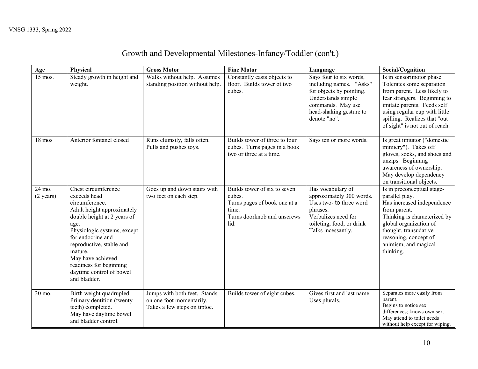# Growth and Developmental Milestones-Infancy/Toddler (con't.)

| Age                           | Physical                                                                                                                                                                                                                                                                                                          | <b>Gross Motor</b>                                                                       | <b>Fine Motor</b>                                                                                                      | Language                                                                                                                                                             | Social/Cognition                                                                                                                                                                                                                                        |
|-------------------------------|-------------------------------------------------------------------------------------------------------------------------------------------------------------------------------------------------------------------------------------------------------------------------------------------------------------------|------------------------------------------------------------------------------------------|------------------------------------------------------------------------------------------------------------------------|----------------------------------------------------------------------------------------------------------------------------------------------------------------------|---------------------------------------------------------------------------------------------------------------------------------------------------------------------------------------------------------------------------------------------------------|
| 15 mos.                       | Steady growth in height and<br>weight.                                                                                                                                                                                                                                                                            | Walks without help. Assumes<br>standing position without help.                           | Constantly casts objects to<br>floor. Builds tower ot two<br>cubes.                                                    | Says four to six words,<br>including names. "Asks"<br>for objects by pointing.<br>Understands simple<br>commands. May use<br>head-shaking gesture to<br>denote "no". | Is in sensorimotor phase.<br>Tolerates some separation<br>from parent. Less likely to<br>fear strangers. Beginning to<br>imitate parents. Feeds self<br>using regular cup with little<br>spilling. Realizes that "out<br>of sight" is not out of reach. |
| 18 mos                        | Anterior fontanel closed                                                                                                                                                                                                                                                                                          | Runs clumsily, falls often.<br>Pulls and pushes toys.                                    | Builds tower of three to four<br>cubes. Turns pages in a book<br>two or three at a time.                               | Says ten or more words.                                                                                                                                              | Is great imitator ("domestic<br>mimicry"). Takes off<br>gloves, socks, and shoes and<br>unzips. Beginning<br>awareness of ownership.<br>May develop dependency<br>on transitional objects.                                                              |
| 24 mo.<br>$(2 \text{ years})$ | Chest circumference<br>exceeds head<br>circumference.<br>Adult height approximately<br>double height at 2 years of<br>age.<br>Physiologic systems, except<br>for endocrine and<br>reproductive, stable and<br>mature.<br>May have achieved<br>readiness for beginning<br>daytime control of bowel<br>and bladder. | Goes up and down stairs with<br>two feet on each step.                                   | Builds tower of six to seven<br>cubes.<br>Turns pages of book one at a<br>time.<br>Turns doorknob and unscrews<br>lid. | Has vocabulary of<br>approximately 300 words.<br>Uses two- to three word<br>phrases.<br>Verbalizes need for<br>toileting, food, or drink<br>Talks incessantly.       | Is in preconceptual stage-<br>parallel play.<br>Has increased independence<br>from parent.<br>Thinking is characterized by<br>global organization of<br>thought, transudative<br>reasoning, concept of<br>animism, and magical<br>thinking.             |
| 30 mo.                        | Birth weight quadrupled.<br>Primary dentition (twenty<br>teeth) completed.<br>May have daytime bowel<br>and bladder control.                                                                                                                                                                                      | Jumps with both feet. Stands<br>on one foot momentarily.<br>Takes a few steps on tiptoe. | Builds tower of eight cubes.                                                                                           | Gives first and last name.<br>Uses plurals.                                                                                                                          | Separates more easily from<br>parent.<br>Begins to notice sex<br>differences; knows own sex.<br>May attend to toilet needs<br>without help except for wiping.                                                                                           |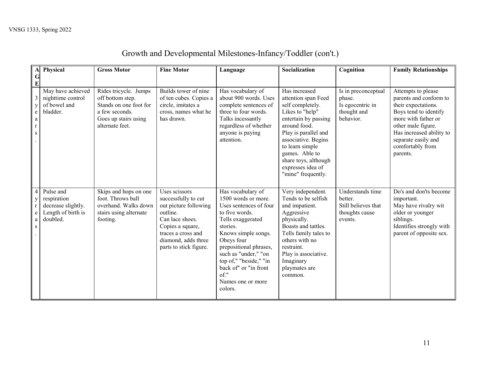| $\mathbf{A}$                                                             | Physical                                                                         | <b>Gross Motor</b>                                                                                                               | <b>Fine Motor</b>                                                                                                                                                                       | Language                                                                                                                                                                                                                                                                                                | Socialization                                                                                                                                                                                                                                                              | Cognition                                                                       | <b>Family Relationships</b>                                                                                                                                                                                                  |
|--------------------------------------------------------------------------|----------------------------------------------------------------------------------|----------------------------------------------------------------------------------------------------------------------------------|-----------------------------------------------------------------------------------------------------------------------------------------------------------------------------------------|---------------------------------------------------------------------------------------------------------------------------------------------------------------------------------------------------------------------------------------------------------------------------------------------------------|----------------------------------------------------------------------------------------------------------------------------------------------------------------------------------------------------------------------------------------------------------------------------|---------------------------------------------------------------------------------|------------------------------------------------------------------------------------------------------------------------------------------------------------------------------------------------------------------------------|
| $\mathbf G$<br>$\bf{E}$                                                  |                                                                                  |                                                                                                                                  |                                                                                                                                                                                         |                                                                                                                                                                                                                                                                                                         |                                                                                                                                                                                                                                                                            |                                                                                 |                                                                                                                                                                                                                              |
| $\mathfrak{Z}$<br>$\mathbf y$<br>$\mathbf e$<br>$\rm{a}$<br>$\bf r$<br>S | May have achieved<br>nighttime control<br>of bowel and<br>bladder.               | Rides tricycle. Jumps<br>off bottom step.<br>Stands on one foot for<br>a few seconds.<br>Goes up stairs using<br>alternate feet. | Builds tower of nine<br>of ten cubes. Copies a<br>circle, imitates a<br>cross, names what he<br>has drawn.                                                                              | Has vocabulary of<br>about 900 words. Uses<br>complete sentences of<br>three to four words.<br>Talks incessantly<br>regardless of whether<br>anyone is paying<br>attention.                                                                                                                             | Has increased<br>attention span Feed<br>self completely.<br>Likes to "help"<br>entertain by passing<br>around food.<br>Play is parallel and<br>associative. Begins<br>to learn simple<br>games. Able to<br>share toys, although<br>expresses idea of<br>"mine" frequently. | Is in preconceptual<br>phase.<br>Is egocentric in<br>thought and<br>behavior.   | Attempts to please<br>parents and conform to<br>their expectations.<br>Boys tend to identify<br>more with father or<br>other male figure.<br>Has increased ability to<br>separate easily and<br>comfortably from<br>parents. |
| $\overline{4}$<br>$\mathbf y$<br>$\bf r$<br>$\mathbf e$<br>a<br>S        | Pulse and<br>respiration<br>decrease slightly.<br>Length of birth is<br>doubled. | Skips and hops on one<br>foot. Throws ball<br>overhand. Walks down<br>stairs using alternate<br>footing.                         | Uses scissors<br>successfully to cut<br>out picture following<br>outline.<br>Can lace shoes.<br>Copies a square,<br>traces a cross and<br>diamond, adds three<br>parts to stick figure. | Has vocabulary of<br>1500 words or more.<br>Uses sentences of four<br>to five words.<br>Tells exaggerated<br>stories.<br>Knows simple songs.<br>Obeys four<br>prepositional phrases,<br>such as "under," "on<br>top of," "beside," "in<br>back of" or "in front<br>of."<br>Names one or more<br>colors. | Very independent.<br>Tends to be selfish<br>and impatient.<br>Aggressive<br>physically.<br>Boasts and tattles.<br>Tells family tales to<br>others with no<br>restraint.<br>Play is associative.<br>Imaginary<br>playmates are<br>common.                                   | Understands time<br>better.<br>Still believes that<br>thoughts cause<br>events. | Do's and don'ts become<br>important.<br>May have rivalry wit<br>older or younger<br>siblings.<br>Identifies strongly with<br>parent of opposite sex.                                                                         |

# Growth and Developmental Milestones-Infancy/Toddler (con't.)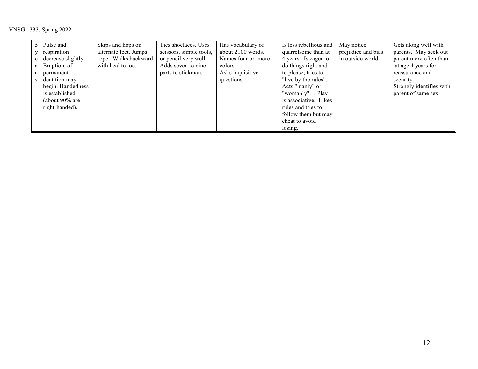|     | 5 Pulse and        | Skips and hops on     | Ties shoelaces. Uses    | Has vocabulary of   | Is less rebellious and | May notice         | Gets along well with     |
|-----|--------------------|-----------------------|-------------------------|---------------------|------------------------|--------------------|--------------------------|
|     | respiration        | alternate feet. Jumps | scissors, simple tools, | about 2100 words.   | quarrelsome than at    | prejudice and bias | parents. May seek out    |
| e   | decrease slightly. | rope. Walks backward  | or pencil very well.    | Names four or. more | 4 years. Is eager to   | in outside world.  | parent more often than   |
| a l | Eruption, of       | with heal to toe.     | Adds seven to nine      | colors.             | do things right and    |                    | at age 4 years for       |
|     | permanent          |                       | parts to stickman.      | Asks inquisitive    | to please; tries to    |                    | reassurance and          |
|     | dentition may      |                       |                         | questions.          | "live by the rules".   |                    | security.                |
|     | begin. Handedness  |                       |                         |                     | Acts "manly" or        |                    | Strongly identifies with |
|     | is established     |                       |                         |                     | "womanly". Play        |                    | parent of same sex.      |
|     | (about $90\%$ are  |                       |                         |                     | is associative. Likes  |                    |                          |
|     | right-handed).     |                       |                         |                     | rules and tries to     |                    |                          |
|     |                    |                       |                         |                     | follow them but may    |                    |                          |
|     |                    |                       |                         |                     | cheat to avoid         |                    |                          |
|     |                    |                       |                         |                     | losing.                |                    |                          |